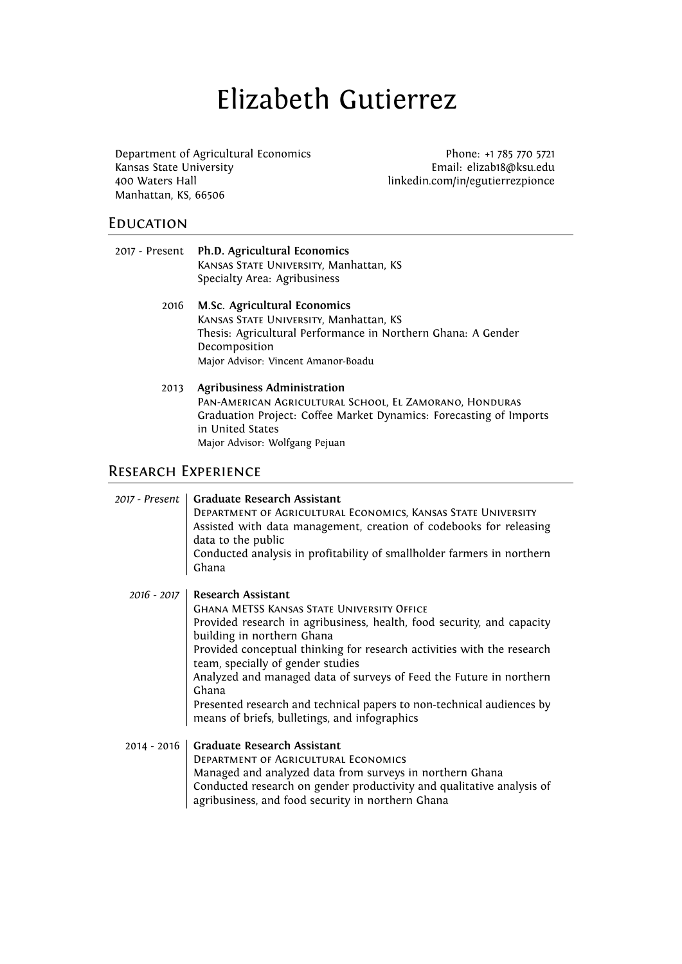# Elizabeth Gutierrez

Department of Agricultural Economics Phone: +1 785 770 5721 Kansas State University Email: elizab18@ksu.edu 400 Waters Hall **and Communist Exception** direction in linkedin.com/in/egutierrezpionce Manhattan, KS, 66506

### **EDUCATION**

| 2017 - Present Ph.D. Agricultural Economics                            |  |
|------------------------------------------------------------------------|--|
| KANSAS STATE UNIVERSITY, Manhattan, KS<br>Specialty Area: Agribusiness |  |
|                                                                        |  |

- 2016 **M.Sc. Agricultural Economics** KANSAS STATE UNIVERSITY, Manhattan, KS Thesis: Agricultural Performance in Northern Ghana: A Gender Decomposition Major Advisor: Vincent Amanor-Boadu
- 2013 **Agribusiness Administration** Pan-American Agricultural School, El Zamorano, Honduras Graduation Project: Coffee Market Dynamics: Forecasting of Imports in United States Major Advisor: Wolfgang Pejuan

# Research Experience

| 2017 - Present | <b>Graduate Research Assistant</b><br>DEPARTMENT OF AGRICULTURAL ECONOMICS, KANSAS STATE UNIVERSITY<br>Assisted with data management, creation of codebooks for releasing<br>data to the public<br>Conducted analysis in profitability of smallholder farmers in northern<br>Ghana                                                                                                                                                                                                                       |
|----------------|----------------------------------------------------------------------------------------------------------------------------------------------------------------------------------------------------------------------------------------------------------------------------------------------------------------------------------------------------------------------------------------------------------------------------------------------------------------------------------------------------------|
| $2016 - 2017$  | Research Assistant<br><b>GHANA METSS KANSAS STATE UNIVERSITY OFFICE</b><br>Provided research in agribusiness, health, food security, and capacity<br>building in northern Ghana<br>Provided conceptual thinking for research activities with the research<br>team, specially of gender studies<br>Analyzed and managed data of surveys of Feed the Future in northern<br>Ghana<br>Presented research and technical papers to non-technical audiences by<br>means of briefs, bulletings, and infographics |
| $2014 - 2016$  | <b>Graduate Research Assistant</b><br>DEPARTMENT OF AGRICULTURAL ECONOMICS<br>Managed and analyzed data from surveys in northern Ghana<br>Conducted research on gender productivity and qualitative analysis of<br>agribusiness, and food security in northern Ghana                                                                                                                                                                                                                                     |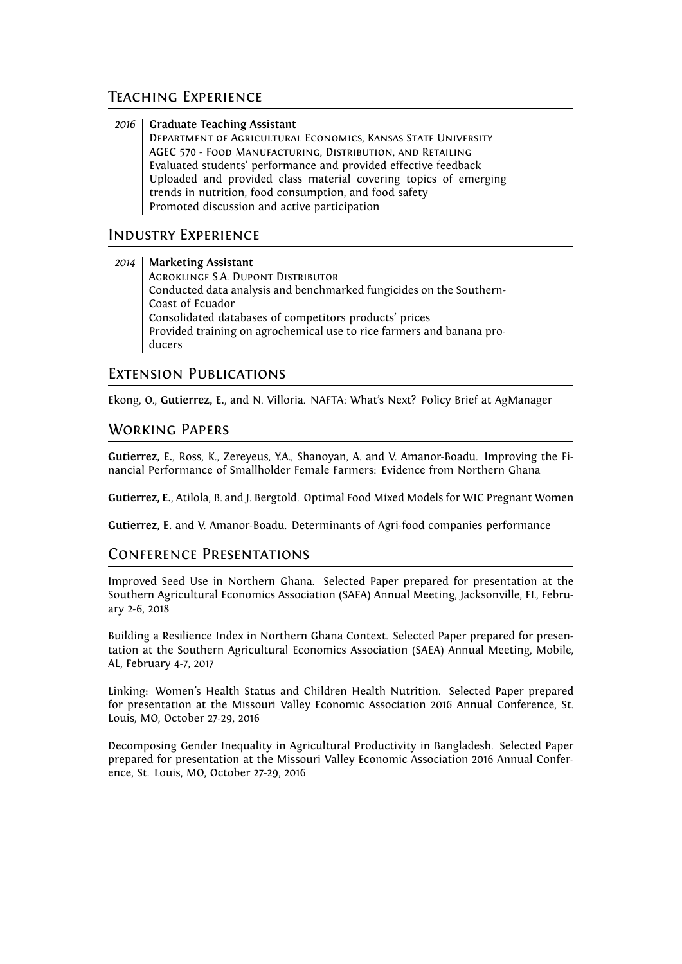### Teaching Experience

*2016* **Graduate Teaching Assistant** Department of Agricultural Economics, Kansas State University AGEC 570 - Food Manufacturing, Distribution, and Retailing Evaluated students' performance and provided effective feedback Uploaded and provided class material covering topics of emerging trends in nutrition, food consumption, and food safety Promoted discussion and active participation

## Industry Experience

#### *2014* **Marketing Assistant**

Agroklinge S.A. Dupont Distributor Conducted data analysis and benchmarked fungicides on the Southern-Coast of Ecuador Consolidated databases of competitors products' prices Provided training on agrochemical use to rice farmers and banana producers

### Extension Publications

Ekong, O., **Gutierrez, E.**, and N. Villoria. NAFTA: What's Next? Policy Brief at AgManager

## Working Papers

**Gutierrez, E.**, Ross, K., Zereyeus, Y.A., Shanoyan, A. and V. Amanor-Boadu. Improving the Financial Performance of Smallholder Female Farmers: Evidence from Northern Ghana

**Gutierrez, E.**, Atilola, B. and J. Bergtold. Optimal Food Mixed Models for WIC Pregnant Women

**Gutierrez, E.** and V. Amanor-Boadu. Determinants of Agri-food companies performance

## Conference Presentations

Improved Seed Use in Northern Ghana. Selected Paper prepared for presentation at the Southern Agricultural Economics Association (SAEA) Annual Meeting, Jacksonville, FL, February 2-6, 2018

Building a Resilience Index in Northern Ghana Context. Selected Paper prepared for presentation at the Southern Agricultural Economics Association (SAEA) Annual Meeting, Mobile, AL, February 4-7, 2017

Linking: Women's Health Status and Children Health Nutrition. Selected Paper prepared for presentation at the Missouri Valley Economic Association 2016 Annual Conference, St. Louis, MO, October 27-29, 2016

Decomposing Gender Inequality in Agricultural Productivity in Bangladesh. Selected Paper prepared for presentation at the Missouri Valley Economic Association 2016 Annual Conference, St. Louis, MO, October 27-29, 2016